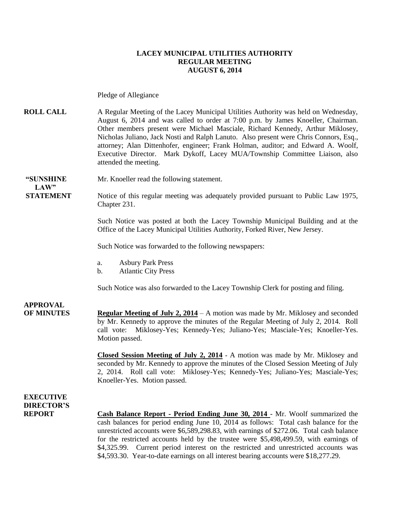#### **LACEY MUNICIPAL UTILITIES AUTHORITY REGULAR MEETING AUGUST 6, 2014**

Pledge of Allegiance

**ROLL CALL** A Regular Meeting of the Lacey Municipal Utilities Authority was held on Wednesday, August 6, 2014 and was called to order at 7:00 p.m. by James Knoeller, Chairman. Other members present were Michael Masciale, Richard Kennedy, Arthur Miklosey, Nicholas Juliano, Jack Nosti and Ralph Lanuto. Also present were Chris Connors, Esq., attorney; Alan Dittenhofer, engineer; Frank Holman, auditor; and Edward A. Woolf, Executive Director. Mark Dykoff, Lacey MUA/Township Committee Liaison, also attended the meeting.

**"SUNSHINE** Mr. Knoeller read the following statement.

**STATEMENT** Notice of this regular meeting was adequately provided pursuant to Public Law 1975, Chapter 231.

> Such Notice was posted at both the Lacey Township Municipal Building and at the Office of the Lacey Municipal Utilities Authority, Forked River, New Jersey.

Such Notice was forwarded to the following newspapers:

- a. Asbury Park Press
- b. Atlantic City Press

Such Notice was also forwarded to the Lacey Township Clerk for posting and filing.

### **APPROVAL**

 $LAW"$ 

**OF MINUTES Regular Meeting of July 2, 2014** – A motion was made by Mr. Miklosey and seconded by Mr. Kennedy to approve the minutes of the Regular Meeting of July 2, 2014. Roll call vote: Miklosey-Yes; Kennedy-Yes; Juliano-Yes; Masciale-Yes; Knoeller-Yes. Motion passed.

> **Closed Session Meeting of July 2, 2014 -** A motion was made by Mr. Miklosey and seconded by Mr. Kennedy to approve the minutes of the Closed Session Meeting of July 2, 2014. Roll call vote: Miklosey-Yes; Kennedy-Yes; Juliano-Yes; Masciale-Yes; Knoeller-Yes. Motion passed.

#### **EXECUTIVE DIRECTOR'S**

**REPORT Cash Balance Report - Period Ending June 30, 2014** - Mr. Woolf summarized the cash balances for period ending June 10, 2014 as follows: Total cash balance for the unrestricted accounts were \$6,589,298.83, with earnings of \$272.06. Total cash balance for the restricted accounts held by the trustee were \$5,498,499.59, with earnings of \$4,325.99. Current period interest on the restricted and unrestricted accounts was \$4,593.30. Year-to-date earnings on all interest bearing accounts were \$18,277.29.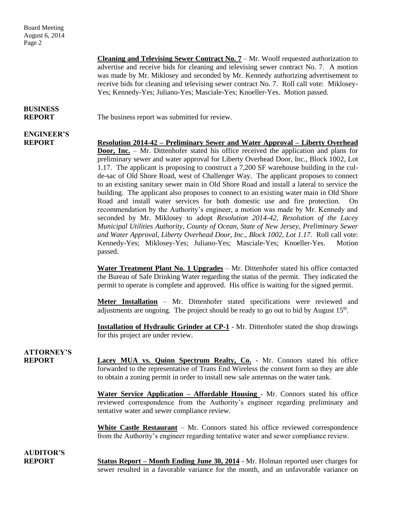Board Meeting August 6, 2014 Page 2

> **Cleaning and Televising Sewer Contract No. 7** – Mr. Woolf requested authorization to advertise and receive bids for cleaning and televising sewer contract No. 7. A motion was made by Mr. Miklosey and seconded by Mr. Kennedy authorizing advertisement to receive bids for cleaning and televising sewer contract No. 7. Roll call vote: Miklosey-Yes; Kennedy-Yes; Juliano-Yes; Masciale-Yes; Knoeller-Yes. Motion passed.

## **BUSINESS**

**ENGINEER'S**

**REPORT** The business report was submitted for review.

**REPORT Resolution 2014-42 – Preliminary Sewer and Water Approval – Liberty Overhead Door, Inc.** – Mr. Dittenhofer stated his office received the application and plans for preliminary sewer and water approval for Liberty Overhead Door, Inc., Block 1002, Lot 1.17. The applicant is proposing to construct a 7,200 SF warehouse building in the culde-sac of Old Shore Road, west of Challenger Way. The applicant proposes to connect to an existing sanitary sewer main in Old Shore Road and install a lateral to service the building. The applicant also proposes to connect to an existing water main in Old Shore Road and install water services for both domestic use and fire protection. On recommendation by the Authority's engineer, a motion was made by Mr. Kennedy and seconded by Mr. Miklosey to adopt *Resolution 2014-42, Resolution of the Lacey Municipal Utilities Authority, County of Ocean, State of New Jersey, Preliminary Sewer and Water Approval, Liberty Overhead Door, Inc., Block 1002, Lot 1.17.* Roll call vote: Kennedy-Yes; Miklosey-Yes; Juliano-Yes; Masciale-Yes; Knoeller-Yes. Motion passed.

> **Water Treatment Plant No. 1 Upgrades** – Mr. Dittenhofer stated his office contacted the Bureau of Safe Drinking Water regarding the status of the permit. They indicated the permit to operate is complete and approved. His office is waiting for the signed permit.

> **Meter Installation** – Mr. Dittenhofer stated specifications were reviewed and adjustments are ongoing. The project should be ready to go out to bid by August 15<sup>th</sup>.

> **Installation of Hydraulic Grinder at CP-1** - Mr. Dittenhofer stated the shop drawings for this project are under review.

## **ATTORNEY'S**

**REPORT Lacey MUA vs. Quinn Spectrum Realty, Co.** - Mr. Connors stated his office forwarded to the representative of Trans End Wireless the consent form so they are able to obtain a zoning permit in order to install new sale antennas on the water tank.

> **Water Service Application – Affordable Housing** - Mr. Connors stated his office reviewed correspondence from the Authority's engineer regarding preliminary and tentative water and sewer compliance review.

> **White Castle Restaurant** – Mr. Connors stated his office reviewed correspondence from the Authority's engineer regarding tentative water and sewer compliance review.

**AUDITOR'S**

**REPORT Status Report – Month Ending June 30, 2014** - Mr. Holman reported user charges for sewer resulted in a favorable variance for the month, and an unfavorable variance on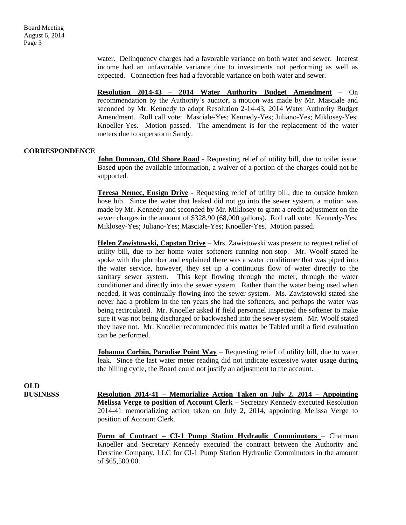water. Delinquency charges had a favorable variance on both water and sewer. Interest income had an unfavorable variance due to investments not performing as well as expected. Connection fees had a favorable variance on both water and sewer.

**Resolution 2014-43 – 2014 Water Authority Budget Amendment** – On recommendation by the Authority's auditor, a motion was made by Mr. Masciale and seconded by Mr. Kennedy to adopt Resolution 2-14-43, 2014 Water Authority Budget Amendment. Roll call vote: Masciale-Yes; Kennedy-Yes; Juliano-Yes; Miklosey-Yes; Knoeller-Yes. Motion passed. The amendment is for the replacement of the water meters due to superstorm Sandy.

#### **CORRESPONDENCE**

**John Donovan, Old Shore Road** - Requesting relief of utility bill, due to toilet issue. Based upon the available information, a waiver of a portion of the charges could not be supported.

**Teresa Nemec, Ensign Drive** - Requesting relief of utility bill, due to outside broken hose bib. Since the water that leaked did not go into the sewer system, a motion was made by Mr. Kennedy and seconded by Mr. Miklosey to grant a credit adjustment on the sewer charges in the amount of \$328.90 (68,000 gallons). Roll call vote: Kennedy-Yes; Miklosey-Yes; Juliano-Yes; Masciale-Yes; Knoeller-Yes. Motion passed.

**Helen Zawistowski, Capstan Drive** – Mrs. Zawistowski was present to request relief of utility bill, due to her home water softeners running non-stop. Mr. Woolf stated he spoke with the plumber and explained there was a water conditioner that was piped into the water service, however, they set up a continuous flow of water directly to the sanitary sewer system. This kept flowing through the meter, through the water conditioner and directly into the sewer system. Rather than the water being used when needed, it was continually flowing into the sewer system. Ms. Zawistowski stated she never had a problem in the ten years she had the softeners, and perhaps the water was being recirculated. Mr. Knoeller asked if field personnel inspected the softener to make sure it was not being discharged or backwashed into the sewer system. Mr. Woolf stated they have not. Mr. Knoeller recommended this matter be Tabled until a field evaluation can be performed.

**Johanna Corbin, Paradise Point Way** – Requesting relief of utility bill, due to water leak. Since the last water meter reading did not indicate excessive water usage during the billing cycle, the Board could not justify an adjustment to the account.

**OLD**

**BUSINESS Resolution 2014-41 – Memorialize Action Taken on July 2, 2014 – Appointing Melissa Verge to position of Account Clerk** – Secretary Kennedy executed Resolution 2014-41 memorializing action taken on July 2, 2014, appointing Melissa Verge to position of Account Clerk.

> **Form of Contract – CI-1 Pump Station Hydraulic Comminutors** – Chairman Knoeller and Secretary Kennedy executed the contract between the Authority and Derstine Company, LLC for CI-1 Pump Station Hydraulic Comminutors in the amount of \$65,500.00.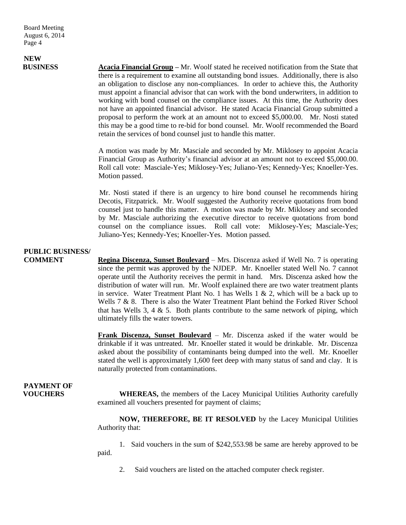Board Meeting August 6, 2014 Page 4

# **NEW**

**BUSINESS Acacia Financial Group –** Mr. Woolf stated he received notification from the State that there is a requirement to examine all outstanding bond issues. Additionally, there is also an obligation to disclose any non-compliances. In order to achieve this, the Authority must appoint a financial advisor that can work with the bond underwriters, in addition to working with bond counsel on the compliance issues. At this time, the Authority does not have an appointed financial advisor. He stated Acacia Financial Group submitted a proposal to perform the work at an amount not to exceed \$5,000.00. Mr. Nosti stated this may be a good time to re-bid for bond counsel. Mr. Woolf recommended the Board retain the services of bond counsel just to handle this matter.

> A motion was made by Mr. Masciale and seconded by Mr. Miklosey to appoint Acacia Financial Group as Authority's financial advisor at an amount not to exceed \$5,000.00. Roll call vote: Masciale-Yes; Miklosey-Yes; Juliano-Yes; Kennedy-Yes; Knoeller-Yes. Motion passed.

> Mr. Nosti stated if there is an urgency to hire bond counsel he recommends hiring Decotis, Fitzpatrick. Mr. Woolf suggested the Authority receive quotations from bond counsel just to handle this matter. A motion was made by Mr. Miklosey and seconded by Mr. Masciale authorizing the executive director to receive quotations from bond counsel on the compliance issues. Roll call vote: Miklosey-Yes; Masciale-Yes; Juliano-Yes; Kennedy-Yes; Knoeller-Yes. Motion passed.

### **PUBLIC BUSINESS/**

**COMMENT Regina Discenza, Sunset Boulevard** – Mrs. Discenza asked if Well No. 7 is operating since the permit was approved by the NJDEP. Mr. Knoeller stated Well No. 7 cannot operate until the Authority receives the permit in hand. Mrs. Discenza asked how the distribution of water will run. Mr. Woolf explained there are two water treatment plants in service. Water Treatment Plant No. 1 has Wells  $1 \& 2$ , which will be a back up to Wells 7 & 8. There is also the Water Treatment Plant behind the Forked River School that has Wells  $3, 4 \& 5$ . Both plants contribute to the same network of piping, which ultimately fills the water towers.

> **Frank Discenza, Sunset Boulevard** – Mr. Discenza asked if the water would be drinkable if it was untreated. Mr. Knoeller stated it would be drinkable. Mr. Discenza asked about the possibility of contaminants being dumped into the well. Mr. Knoeller stated the well is approximately 1,600 feet deep with many status of sand and clay. It is naturally protected from contaminations.

# **PAYMENT OF**

**VOUCHERS** WHEREAS, the members of the Lacey Municipal Utilities Authority carefully examined all vouchers presented for payment of claims;

> **NOW, THEREFORE, BE IT RESOLVED** by the Lacey Municipal Utilities Authority that:

> 1. Said vouchers in the sum of \$242,553.98 be same are hereby approved to be paid.

2. Said vouchers are listed on the attached computer check register.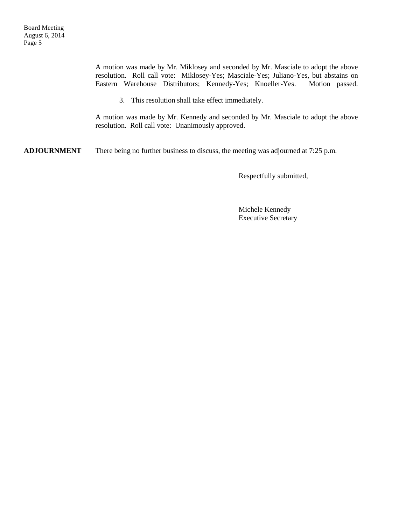A motion was made by Mr. Miklosey and seconded by Mr. Masciale to adopt the above resolution. Roll call vote: Miklosey-Yes; Masciale-Yes; Juliano-Yes, but abstains on Eastern Warehouse Distributors; Kennedy-Yes; Knoeller-Yes. Motion passed.

3. This resolution shall take effect immediately.

A motion was made by Mr. Kennedy and seconded by Mr. Masciale to adopt the above resolution. Roll call vote: Unanimously approved.

**ADJOURNMENT** There being no further business to discuss, the meeting was adjourned at 7:25 p.m.

Respectfully submitted,

Michele Kennedy Executive Secretary